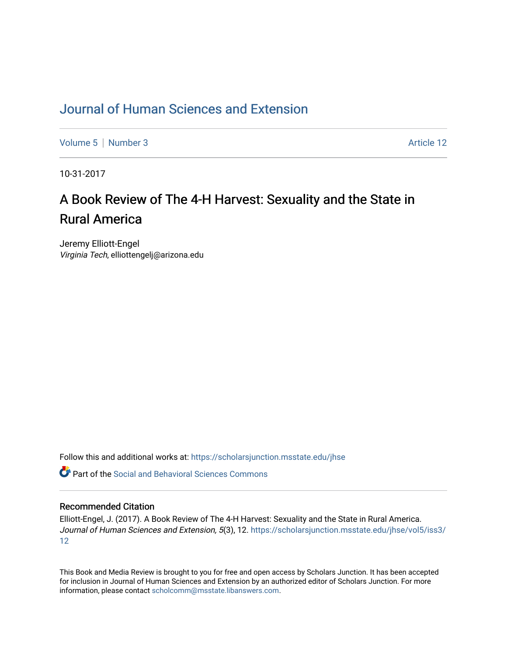### [Journal of Human Sciences and Extension](https://scholarsjunction.msstate.edu/jhse)

[Volume 5](https://scholarsjunction.msstate.edu/jhse/vol5) | [Number 3](https://scholarsjunction.msstate.edu/jhse/vol5/iss3) Article 12

10-31-2017

# A Book Review of The 4-H Harvest: Sexuality and the State in Rural America

Jeremy Elliott-Engel Virginia Tech, elliottengelj@arizona.edu

Follow this and additional works at: [https://scholarsjunction.msstate.edu/jhse](https://scholarsjunction.msstate.edu/jhse?utm_source=scholarsjunction.msstate.edu%2Fjhse%2Fvol5%2Fiss3%2F12&utm_medium=PDF&utm_campaign=PDFCoverPages)

 $\bullet$  Part of the Social and Behavioral Sciences Commons

#### Recommended Citation

Elliott-Engel, J. (2017). A Book Review of The 4-H Harvest: Sexuality and the State in Rural America. Journal of Human Sciences and Extension, 5(3), 12. [https://scholarsjunction.msstate.edu/jhse/vol5/iss3/](https://scholarsjunction.msstate.edu/jhse/vol5/iss3/12?utm_source=scholarsjunction.msstate.edu%2Fjhse%2Fvol5%2Fiss3%2F12&utm_medium=PDF&utm_campaign=PDFCoverPages) [12](https://scholarsjunction.msstate.edu/jhse/vol5/iss3/12?utm_source=scholarsjunction.msstate.edu%2Fjhse%2Fvol5%2Fiss3%2F12&utm_medium=PDF&utm_campaign=PDFCoverPages)

This Book and Media Review is brought to you for free and open access by Scholars Junction. It has been accepted for inclusion in Journal of Human Sciences and Extension by an authorized editor of Scholars Junction. For more information, please contact [scholcomm@msstate.libanswers.com](mailto:scholcomm@msstate.libanswers.com).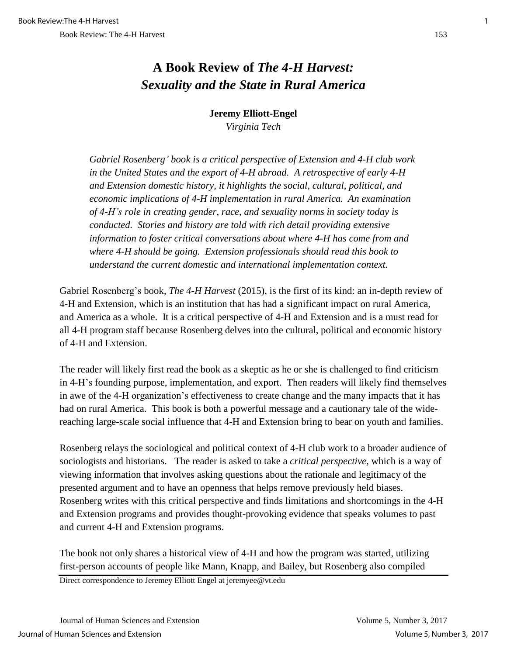## **A Book Review of** *The 4-H Harvest: Sexuality and the State in Rural America*

### **Jeremy Elliott-Engel** *Virginia Tech*

*Gabriel Rosenberg' book is a critical perspective of Extension and 4-H club work in the United States and the export of 4-H abroad. A retrospective of early 4-H and Extension domestic history, it highlights the social, cultural, political, and economic implications of 4-H implementation in rural America. An examination of 4-H's role in creating gender, race, and sexuality norms in society today is conducted. Stories and history are told with rich detail providing extensive information to foster critical conversations about where 4-H has come from and where 4-H should be going. Extension professionals should read this book to understand the current domestic and international implementation context.*

Gabriel Rosenberg's book, *The 4-H Harvest* (2015), is the first of its kind: an in-depth review of 4-H and Extension, which is an institution that has had a significant impact on rural America, and America as a whole. It is a critical perspective of 4-H and Extension and is a must read for all 4-H program staff because Rosenberg delves into the cultural, political and economic history of 4-H and Extension.

The reader will likely first read the book as a skeptic as he or she is challenged to find criticism in 4-H's founding purpose, implementation, and export. Then readers will likely find themselves in awe of the 4-H organization's effectiveness to create change and the many impacts that it has had on rural America. This book is both a powerful message and a cautionary tale of the widereaching large-scale social influence that 4-H and Extension bring to bear on youth and families.

Rosenberg relays the sociological and political context of 4-H club work to a broader audience of sociologists and historians. The reader is asked to take a *critical perspective*, which is a way of viewing information that involves asking questions about the rationale and legitimacy of the presented argument and to have an openness that helps remove previously held biases. Rosenberg writes with this critical perspective and finds limitations and shortcomings in the 4-H and Extension programs and provides thought-provoking evidence that speaks volumes to past and current 4-H and Extension programs.

The book not only shares a historical view of 4-H and how the program was started, utilizing first-person accounts of people like Mann, Knapp, and Bailey, but Rosenberg also compiled

Direct correspondence to Jeremey Elliott Engel at jeremyee@vt.edu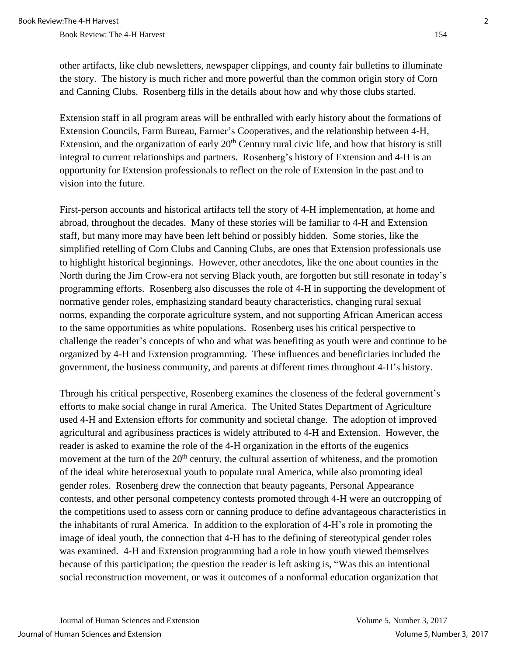Book Review: The 4-H Harvest 154

Extension staff in all program areas will be enthralled with early history about the formations of Extension Councils, Farm Bureau, Farmer's Cooperatives, and the relationship between 4-H, Extension, and the organization of early  $20<sup>th</sup>$  Century rural civic life, and how that history is still integral to current relationships and partners. Rosenberg's history of Extension and 4-H is an opportunity for Extension professionals to reflect on the role of Extension in the past and to vision into the future.

First-person accounts and historical artifacts tell the story of 4-H implementation, at home and abroad, throughout the decades. Many of these stories will be familiar to 4-H and Extension staff, but many more may have been left behind or possibly hidden. Some stories, like the simplified retelling of Corn Clubs and Canning Clubs, are ones that Extension professionals use to highlight historical beginnings. However, other anecdotes, like the one about counties in the North during the Jim Crow-era not serving Black youth, are forgotten but still resonate in today's programming efforts. Rosenberg also discusses the role of 4-H in supporting the development of normative gender roles, emphasizing standard beauty characteristics, changing rural sexual norms, expanding the corporate agriculture system, and not supporting African American access to the same opportunities as white populations. Rosenberg uses his critical perspective to challenge the reader's concepts of who and what was benefiting as youth were and continue to be organized by 4-H and Extension programming. These influences and beneficiaries included the government, the business community, and parents at different times throughout 4-H's history.

Through his critical perspective, Rosenberg examines the closeness of the federal government's efforts to make social change in rural America. The United States Department of Agriculture used 4-H and Extension efforts for community and societal change. The adoption of improved agricultural and agribusiness practices is widely attributed to 4-H and Extension. However, the reader is asked to examine the role of the 4-H organization in the efforts of the eugenics movement at the turn of the  $20<sup>th</sup>$  century, the cultural assertion of whiteness, and the promotion of the ideal white heterosexual youth to populate rural America, while also promoting ideal gender roles. Rosenberg drew the connection that beauty pageants, Personal Appearance contests, and other personal competency contests promoted through 4-H were an outcropping of the competitions used to assess corn or canning produce to define advantageous characteristics in the inhabitants of rural America. In addition to the exploration of 4-H's role in promoting the image of ideal youth, the connection that 4-H has to the defining of stereotypical gender roles was examined. 4-H and Extension programming had a role in how youth viewed themselves because of this participation; the question the reader is left asking is, "Was this an intentional social reconstruction movement, or was it outcomes of a nonformal education organization that